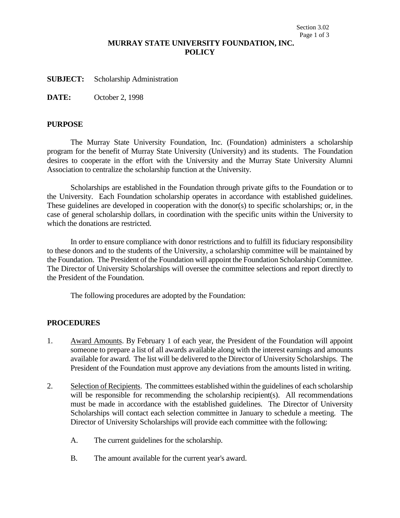## **MURRAY STATE UNIVERSITY FOUNDATION, INC. POLICY**

**SUBJECT:** Scholarship Administration

**DATE:** October 2, 1998

### **PURPOSE**

The Murray State University Foundation, Inc. (Foundation) administers a scholarship program for the benefit of Murray State University (University) and its students. The Foundation desires to cooperate in the effort with the University and the Murray State University Alumni Association to centralize the scholarship function at the University.

Scholarships are established in the Foundation through private gifts to the Foundation or to the University. Each Foundation scholarship operates in accordance with established guidelines. These guidelines are developed in cooperation with the donor(s) to specific scholarships; or, in the case of general scholarship dollars, in coordination with the specific units within the University to which the donations are restricted.

In order to ensure compliance with donor restrictions and to fulfill its fiduciary responsibility to these donors and to the students of the University, a scholarship committee will be maintained by the Foundation. The President of the Foundation will appoint the Foundation Scholarship Committee. The Director of University Scholarships will oversee the committee selections and report directly to the President of the Foundation.

The following procedures are adopted by the Foundation:

## **PROCEDURES**

- 1. Award Amounts. By February 1 of each year, the President of the Foundation will appoint someone to prepare a list of all awards available along with the interest earnings and amounts available for award. The list will be delivered to the Director of University Scholarships. The President of the Foundation must approve any deviations from the amounts listed in writing.
- 2. Selection of Recipients. The committees established within the guidelines of each scholarship will be responsible for recommending the scholarship recipient(s). All recommendations must be made in accordance with the established guidelines. The Director of University Scholarships will contact each selection committee in January to schedule a meeting. The Director of University Scholarships will provide each committee with the following:
	- A. The current guidelines for the scholarship.
	- B. The amount available for the current year's award.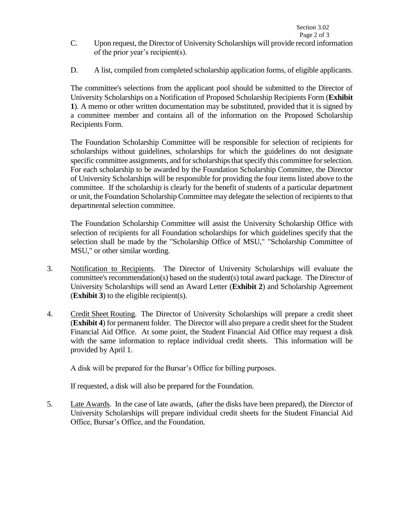- C. Upon request, the Director of University Scholarships will provide record information of the prior year's recipient(s).
- D. A list, compiled from completed scholarship application forms, of eligible applicants.

The committee's selections from the applicant pool should be submitted to the Director of University Scholarships on a Notification of Proposed Scholarship Recipients Form (**Exhibit 1**). A memo or other written documentation may be substituted, provided that it is signed by a committee member and contains all of the information on the Proposed Scholarship Recipients Form.

The Foundation Scholarship Committee will be responsible for selection of recipients for scholarships without guidelines, scholarships for which the guidelines do not designate specific committee assignments, and for scholarships that specify this committee for selection. For each scholarship to be awarded by the Foundation Scholarship Committee, the Director of University Scholarships will be responsible for providing the four items listed above to the committee. If the scholarship is clearly for the benefit of students of a particular department or unit, the Foundation Scholarship Committee may delegate the selection of recipients to that departmental selection committee.

The Foundation Scholarship Committee will assist the University Scholarship Office with selection of recipients for all Foundation scholarships for which guidelines specify that the selection shall be made by the "Scholarship Office of MSU," "Scholarship Committee of MSU," or other similar wording.

- 3. Notification to Recipients. The Director of University Scholarships will evaluate the committee's recommendation(s) based on the student(s) total award package. The Director of University Scholarships will send an Award Letter (**Exhibit 2**) and Scholarship Agreement (**Exhibit 3**) to the eligible recipient(s).
- 4. Credit Sheet Routing. The Director of University Scholarships will prepare a credit sheet (**Exhibit 4**) for permanent folder. The Director will also prepare a credit sheet for the Student Financial Aid Office. At some point, the Student Financial Aid Office may request a disk with the same information to replace individual credit sheets. This information will be provided by April 1.

A disk will be prepared for the Bursar's Office for billing purposes.

If requested, a disk will also be prepared for the Foundation.

5. Late Awards. In the case of late awards, (after the disks have been prepared), the Director of University Scholarships will prepare individual credit sheets for the Student Financial Aid Office, Bursar's Office, and the Foundation.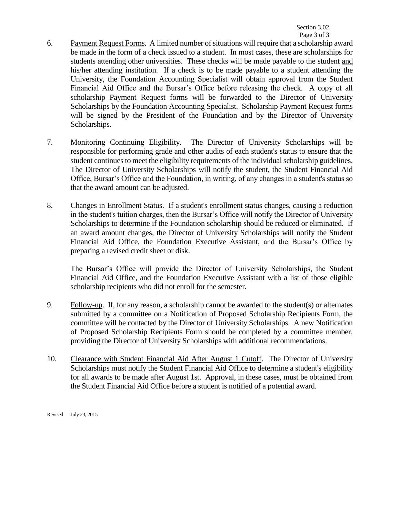- 6. Payment Request Forms. A limited number of situations will require that a scholarship award be made in the form of a check issued to a student. In most cases, these are scholarships for students attending other universities. These checks will be made payable to the student and his/her attending institution. If a check is to be made payable to a student attending the University, the Foundation Accounting Specialist will obtain approval from the Student Financial Aid Office and the Bursar's Office before releasing the check. A copy of all scholarship Payment Request forms will be forwarded to the Director of University Scholarships by the Foundation Accounting Specialist. Scholarship Payment Request forms will be signed by the President of the Foundation and by the Director of University Scholarships.
- 7. Monitoring Continuing Eligibility. The Director of University Scholarships will be responsible for performing grade and other audits of each student's status to ensure that the student continues to meet the eligibility requirements of the individual scholarship guidelines. The Director of University Scholarships will notify the student, the Student Financial Aid Office, Bursar's Office and the Foundation, in writing, of any changes in a student's status so that the award amount can be adjusted.
- 8. Changes in Enrollment Status. If a student's enrollment status changes, causing a reduction in the student's tuition charges, then the Bursar's Office will notify the Director of University Scholarships to determine if the Foundation scholarship should be reduced or eliminated. If an award amount changes, the Director of University Scholarships will notify the Student Financial Aid Office, the Foundation Executive Assistant, and the Bursar's Office by preparing a revised credit sheet or disk.

The Bursar's Office will provide the Director of University Scholarships, the Student Financial Aid Office, and the Foundation Executive Assistant with a list of those eligible scholarship recipients who did not enroll for the semester.

- 9. Follow-up. If, for any reason, a scholarship cannot be awarded to the student(s) or alternates submitted by a committee on a Notification of Proposed Scholarship Recipients Form, the committee will be contacted by the Director of University Scholarships. A new Notification of Proposed Scholarship Recipients Form should be completed by a committee member, providing the Director of University Scholarships with additional recommendations.
- 10. Clearance with Student Financial Aid After August 1 Cutoff. The Director of University Scholarships must notify the Student Financial Aid Office to determine a student's eligibility for all awards to be made after August 1st. Approval, in these cases, must be obtained from the Student Financial Aid Office before a student is notified of a potential award.

Revised July 23, 2015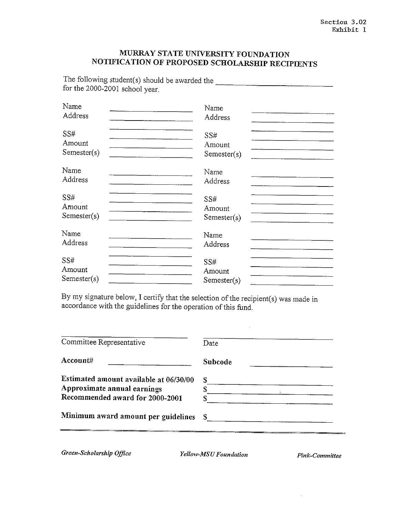## MURRAY STATE UNIVERSITY FOUNDATION NOTIFICATION OF PROPOSED SCHOLARSHIP RECIPIENTS

The following student(s) should be awarded the \_\_\_\_\_\_\_\_\_\_\_\_\_\_\_\_\_\_\_\_\_\_\_\_\_\_\_\_\_\_\_\_\_\_ for the 2000-2001 school year.

| Name        | Name        |
|-------------|-------------|
| Address     | Address     |
| SS#         | SS#         |
| Amount      | Amount      |
| Semester(s) | Semester(s) |
| Name        | Name        |
| Address     | Address     |
| SS#         | SS#         |
| Amount      | Amount      |
| Semester(s) | Semester(s) |
| Name        | Name        |
| Address     | Address     |
| SS#         | <b>SS#</b>  |
| Amount      | Amount      |
| Semester(s) | Semester(s) |

By my signature below, I certify that the selection of the recipient(s) was made in accordance with the guidelines for the operation of this fund.

| Date    |
|---------|
| Subcode |
| S       |
|         |
|         |
| S.      |
|         |

Green-Scholarship Office

Yellow-MSU Foundation

Pink-Committee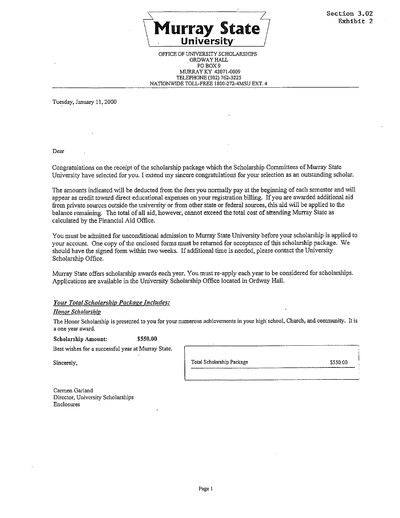

#### OFFICE OF UNIVERSITY SCHOLARSHIPS ORDWAY HALL PO BOX 9 MURRAY KY 42071-0009 TELEPHONE (502) 762-3225 NATIONWIDE TOLL-FREE 1800-272-4MSU EXT. 4

Tuesday, January 11, 2000

Dear

Congratulations on the receipt of the scholarship package which the Scholarship Committees of Murray State University have selected for you. I extend my sincere congratulations for your selection as an outstanding scholar.

The amounts indicated will be deducted from the fees you normally pay at the beginning of each semester and will appear as credit toward direct educational expenses on your registration billing. If you are awarded additional aid from private sources outside the university or from other state or federal sources, this aid will be applied to the balance remaining. The total of all aid, however, cannot exceed the total cost of attending Murray State as calculated by the Financial Aid Office.

You must be admitted for unconditional admission to Murray State University before your scholarship is applied to your account. One copy of the enclosed forms must be returned for acceptance of this scholarship package. We should have the signed form within two weeks. If additional time is needed, please contact the University Scholarship Office.

Murray State offers scholarship awards each year. You must re-apply each year to be considered for scholarships. Applications are available in the University Scholarship Office located in Ordway Hall.

Your Total Scholarship Package Includes:

**Honor Scholarship** 

The Honor Scholarship is presented to you for your numerous achievements in your high school, Church, and community. It is a one year award.

\$550.00 **Scholarship Amount:** 

Best wishes for a successful year at Murray State.

Sincerely,

Total Scholarship Package

\$550.00

Carmen Garland Director, University Scholarships Enclosures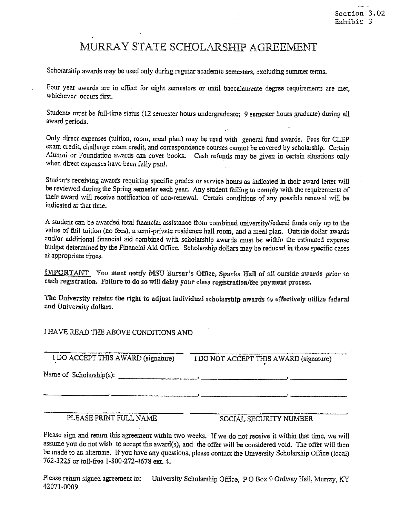## MURRAY STATE SCHOLARSHIP AGREEMENT

Scholarship awards may be used only during regular academic semesters, excluding summer terms.

Four year awards are in effect for eight semesters or until baccalaureate degree requirements are met, whichever occurs first.

Students must be full-time status (12 semester hours undergraduate; 9 semester hours graduate) during all award periods.

Only direct expenses (tuition, room, meal plan) may be used with general fund awards. Fees for CLEP exam credit, challenge exam credit, and correspondence courses cannot be covered by scholarship. Certain Alumni or Foundation awards can cover books. Cash refunds may be given in certain situations only when direct expenses have been fully paid.

Students receiving awards requiring specific grades or service hours as indicated in their award letter will be reviewed during the Spring semester each year. Any student failing to comply with the requirements of their award will receive notification of non-renewal. Certain conditions of any possible renewal will be indicated at that time.

A student can be awarded total financial assistance from combined university/federal funds only up to the value of full tuition (no fees), a semi-private residence hall room, and a meal plan. Outside dollar awards and/or additional financial aid combined with scholarship awards must be within the estimated expense budget determined by the Financial Aid Office. Scholarship dollars may be reduced in those specific cases at appropriate times.

**IMPORTANT** You must notify MSU Bursar's Office, Sparks Hall of all outside awards prior to each registration. Failure to do so will delay your class registration/fee payment process.

The University retains the right to adjust individual scholarship awards to effectively utilize federal and University dollars.

## I HAVE READ THE ABOVE CONDITIONS AND

I DO ACCEPT THIS AWARD (signature)

I DO NOT ACCEPT THIS AWARD (signature)

PLEASE PRINT FULL NAME

SOCIAL SECURITY NUMBER

Please sign and return this agreement within two weeks. If we do not receive it within that time, we will assume you do not wish to accept the award(s), and the offer will be considered void. The offer will then be made to an alternate. If you have any questions, please contact the University Scholarship Office (local) 762-3225 or toll-free 1-800-272-4678 ext. 4.

Please return signed agreement to: University Scholarship Office, P O Box 9 Ordway Hall, Murray, KY 42071-0009.